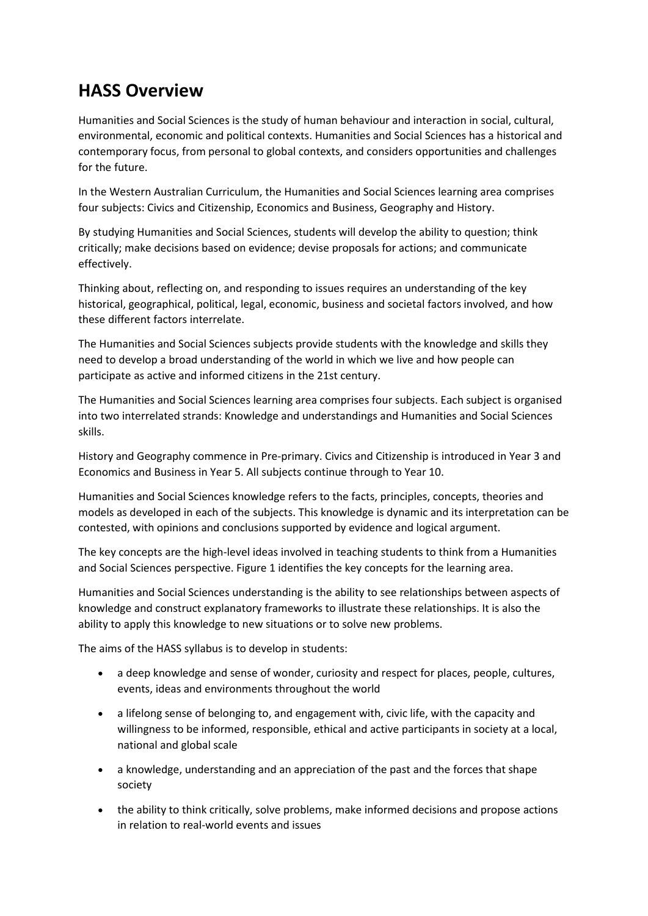## **HASS Overview**

Humanities and Social Sciences is the study of human behaviour and interaction in social, cultural, environmental, economic and political contexts. Humanities and Social Sciences has a historical and contemporary focus, from personal to global contexts, and considers opportunities and challenges for the future.

In the Western Australian Curriculum, the Humanities and Social Sciences learning area comprises four subjects: Civics and Citizenship, Economics and Business, Geography and History.

By studying Humanities and Social Sciences, students will develop the ability to question; think critically; make decisions based on evidence; devise proposals for actions; and communicate effectively.

Thinking about, reflecting on, and responding to issues requires an understanding of the key historical, geographical, political, legal, economic, business and societal factors involved, and how these different factors interrelate.

The Humanities and Social Sciences subjects provide students with the knowledge and skills they need to develop a broad understanding of the world in which we live and how people can participate as active and informed citizens in the 21st century.

The Humanities and Social Sciences learning area comprises four subjects. Each subject is organised into two interrelated strands: Knowledge and understandings and Humanities and Social Sciences skills.

History and Geography commence in Pre-primary. Civics and Citizenship is introduced in Year 3 and Economics and Business in Year 5. All subjects continue through to Year 10.

Humanities and Social Sciences knowledge refers to the facts, principles, concepts, theories and models as developed in each of the subjects. This knowledge is dynamic and its interpretation can be contested, with opinions and conclusions supported by evidence and logical argument.

The key concepts are the high-level ideas involved in teaching students to think from a Humanities and Social Sciences perspective. Figure 1 identifies the key concepts for the learning area.

Humanities and Social Sciences understanding is the ability to see relationships between aspects of knowledge and construct explanatory frameworks to illustrate these relationships. It is also the ability to apply this knowledge to new situations or to solve new problems.

The aims of the HASS syllabus is to develop in students:

- a deep knowledge and sense of wonder, curiosity and respect for places, people, cultures, events, ideas and environments throughout the world
- a lifelong sense of belonging to, and engagement with, civic life, with the capacity and willingness to be informed, responsible, ethical and active participants in society at a local, national and global scale
- a knowledge, understanding and an appreciation of the past and the forces that shape society
- the ability to think critically, solve problems, make informed decisions and propose actions in relation to real-world events and issues